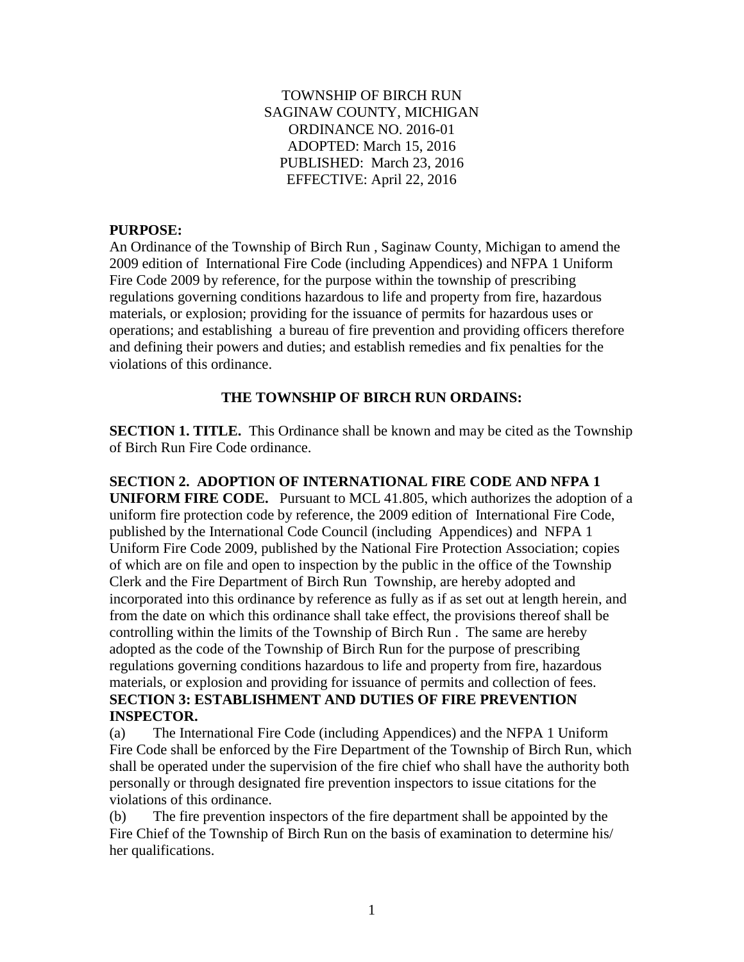### TOWNSHIP OF BIRCH RUN SAGINAW COUNTY, MICHIGAN ORDINANCE NO. 2016-01 ADOPTED: March 15, 2016 PUBLISHED: March 23, 2016 EFFECTIVE: April 22, 2016

### **PURPOSE:**

An Ordinance of the Township of Birch Run , Saginaw County, Michigan to amend the 2009 edition of International Fire Code (including Appendices) and NFPA 1 Uniform Fire Code 2009 by reference, for the purpose within the township of prescribing regulations governing conditions hazardous to life and property from fire, hazardous materials, or explosion; providing for the issuance of permits for hazardous uses or operations; and establishing a bureau of fire prevention and providing officers therefore and defining their powers and duties; and establish remedies and fix penalties for the violations of this ordinance.

## **THE TOWNSHIP OF BIRCH RUN ORDAINS:**

**SECTION 1. TITLE.** This Ordinance shall be known and may be cited as the Township of Birch Run Fire Code ordinance.

**SECTION 2. ADOPTION OF INTERNATIONAL FIRE CODE AND NFPA 1 UNIFORM FIRE CODE.** Pursuant to MCL 41.805, which authorizes the adoption of a uniform fire protection code by reference, the 2009 edition of International Fire Code, published by the International Code Council (including Appendices) and NFPA 1 Uniform Fire Code 2009, published by the National Fire Protection Association; copies of which are on file and open to inspection by the public in the office of the Township Clerk and the Fire Department of Birch Run Township, are hereby adopted and incorporated into this ordinance by reference as fully as if as set out at length herein, and from the date on which this ordinance shall take effect, the provisions thereof shall be controlling within the limits of the Township of Birch Run . The same are hereby adopted as the code of the Township of Birch Run for the purpose of prescribing regulations governing conditions hazardous to life and property from fire, hazardous materials, or explosion and providing for issuance of permits and collection of fees. **SECTION 3: ESTABLISHMENT AND DUTIES OF FIRE PREVENTION INSPECTOR.**

(a) The International Fire Code (including Appendices) and the NFPA 1 Uniform Fire Code shall be enforced by the Fire Department of the Township of Birch Run, which shall be operated under the supervision of the fire chief who shall have the authority both personally or through designated fire prevention inspectors to issue citations for the violations of this ordinance.

(b) The fire prevention inspectors of the fire department shall be appointed by the Fire Chief of the Township of Birch Run on the basis of examination to determine his/ her qualifications.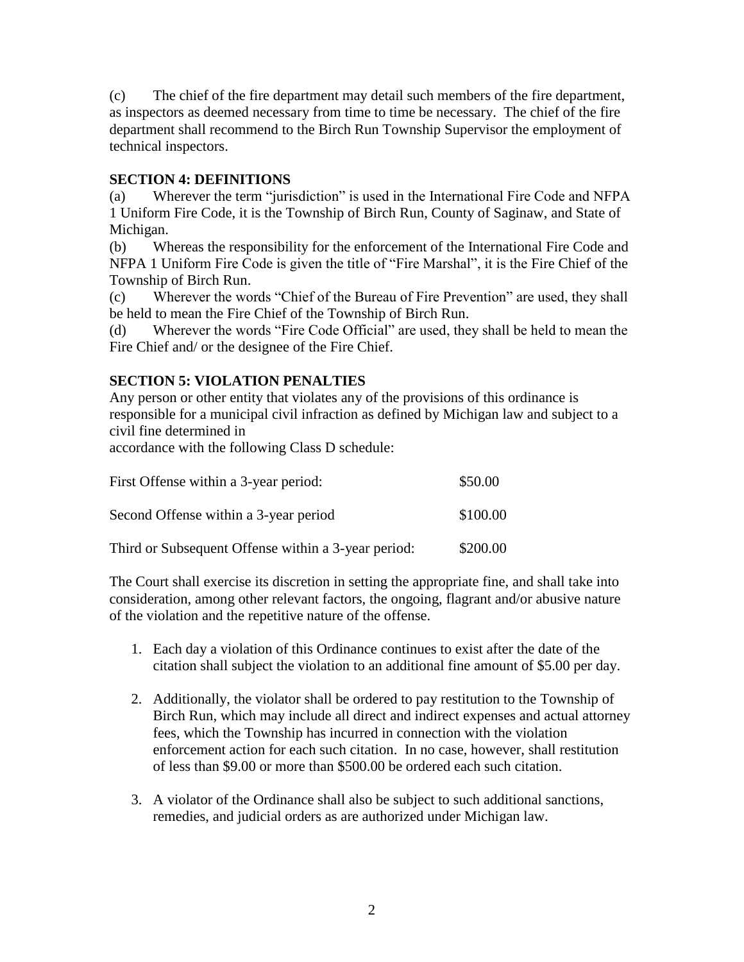(c) The chief of the fire department may detail such members of the fire department, as inspectors as deemed necessary from time to time be necessary. The chief of the fire department shall recommend to the Birch Run Township Supervisor the employment of technical inspectors.

## **SECTION 4: DEFINITIONS**

(a) Wherever the term "jurisdiction" is used in the International Fire Code and NFPA 1 Uniform Fire Code, it is the Township of Birch Run, County of Saginaw, and State of Michigan.

(b) Whereas the responsibility for the enforcement of the International Fire Code and NFPA 1 Uniform Fire Code is given the title of "Fire Marshal", it is the Fire Chief of the Township of Birch Run.

(c) Wherever the words "Chief of the Bureau of Fire Prevention" are used, they shall be held to mean the Fire Chief of the Township of Birch Run.

(d) Wherever the words "Fire Code Official" are used, they shall be held to mean the Fire Chief and/ or the designee of the Fire Chief.

# **SECTION 5: VIOLATION PENALTIES**

Any person or other entity that violates any of the provisions of this ordinance is responsible for a municipal civil infraction as defined by Michigan law and subject to a civil fine determined in

accordance with the following Class D schedule:

| First Offense within a 3-year period:               | \$50.00  |
|-----------------------------------------------------|----------|
| Second Offense within a 3-year period               | \$100.00 |
| Third or Subsequent Offense within a 3-year period: | \$200.00 |

The Court shall exercise its discretion in setting the appropriate fine, and shall take into consideration, among other relevant factors, the ongoing, flagrant and/or abusive nature of the violation and the repetitive nature of the offense.

- 1. Each day a violation of this Ordinance continues to exist after the date of the citation shall subject the violation to an additional fine amount of \$5.00 per day.
- 2. Additionally, the violator shall be ordered to pay restitution to the Township of Birch Run, which may include all direct and indirect expenses and actual attorney fees, which the Township has incurred in connection with the violation enforcement action for each such citation. In no case, however, shall restitution of less than \$9.00 or more than \$500.00 be ordered each such citation.
- 3. A violator of the Ordinance shall also be subject to such additional sanctions, remedies, and judicial orders as are authorized under Michigan law.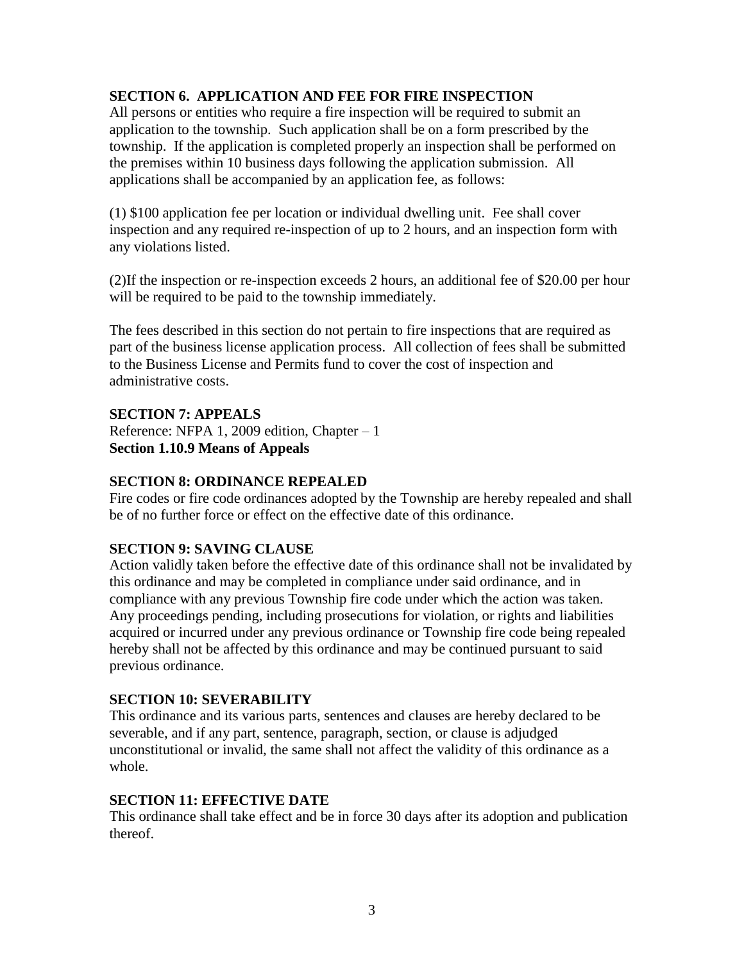## **SECTION 6. APPLICATION AND FEE FOR FIRE INSPECTION**

All persons or entities who require a fire inspection will be required to submit an application to the township. Such application shall be on a form prescribed by the township. If the application is completed properly an inspection shall be performed on the premises within 10 business days following the application submission. All applications shall be accompanied by an application fee, as follows:

(1) \$100 application fee per location or individual dwelling unit. Fee shall cover inspection and any required re-inspection of up to 2 hours, and an inspection form with any violations listed.

(2)If the inspection or re-inspection exceeds 2 hours, an additional fee of \$20.00 per hour will be required to be paid to the township immediately.

The fees described in this section do not pertain to fire inspections that are required as part of the business license application process. All collection of fees shall be submitted to the Business License and Permits fund to cover the cost of inspection and administrative costs.

## **SECTION 7: APPEALS**

Reference: NFPA 1, 2009 edition, Chapter – 1 **Section 1.10.9 Means of Appeals**

### **SECTION 8: ORDINANCE REPEALED**

Fire codes or fire code ordinances adopted by the Township are hereby repealed and shall be of no further force or effect on the effective date of this ordinance.

### **SECTION 9: SAVING CLAUSE**

Action validly taken before the effective date of this ordinance shall not be invalidated by this ordinance and may be completed in compliance under said ordinance, and in compliance with any previous Township fire code under which the action was taken. Any proceedings pending, including prosecutions for violation, or rights and liabilities acquired or incurred under any previous ordinance or Township fire code being repealed hereby shall not be affected by this ordinance and may be continued pursuant to said previous ordinance.

### **SECTION 10: SEVERABILITY**

This ordinance and its various parts, sentences and clauses are hereby declared to be severable, and if any part, sentence, paragraph, section, or clause is adjudged unconstitutional or invalid, the same shall not affect the validity of this ordinance as a whole.

### **SECTION 11: EFFECTIVE DATE**

This ordinance shall take effect and be in force 30 days after its adoption and publication thereof.